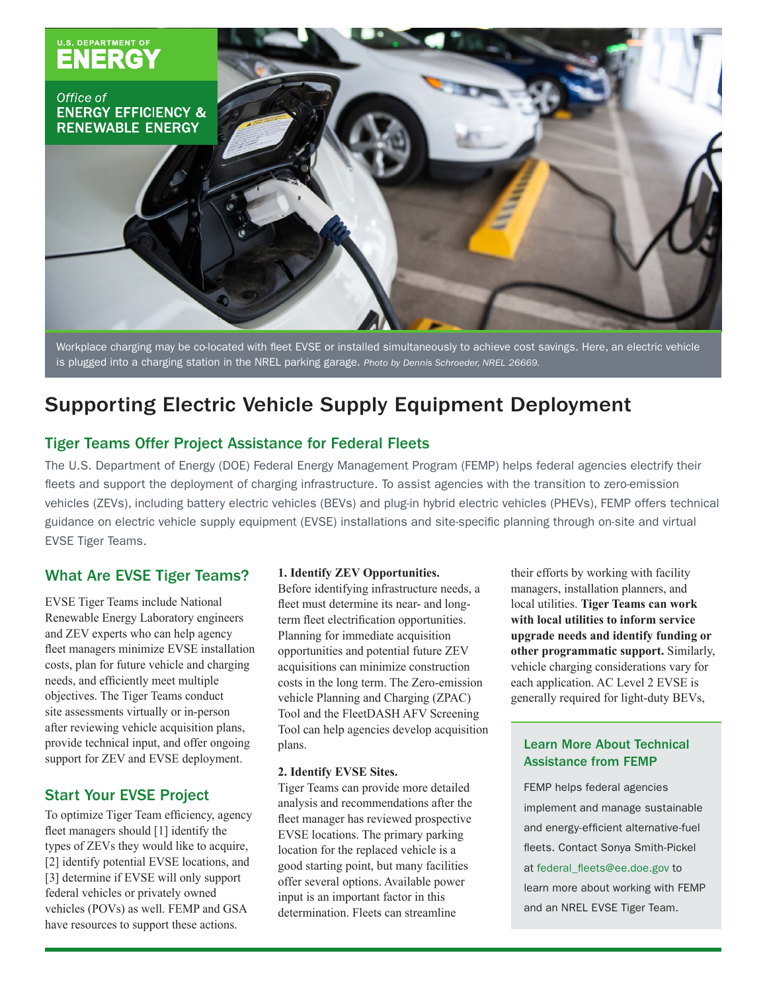

Workplace charging may be co-located with fleet EVSE or installed simultaneously to achieve cost savings. Here, an electric vehicle is plugged into a charging station in the NREL parking garage. *Photo by Dennis Schroeder, NREL 26669.*

# Supporting Electric Vehicle Supply Equipment Deployment

# Tiger Teams Offer Project Assistance for Federal Fleets

The U.S. Department of Energy (DOE) Federal Energy Management Program (FEMP) helps federal agencies electrify their fleets and support the deployment of charging infrastructure. To assist agencies with the transition to zero-emission vehicles (ZEVs), including battery electric vehicles (BEVs) and plug-in hybrid electric vehicles (PHEVs), FEMP offers technical guidance on electric vehicle supply equipment (EVSE) installations and site-specific planning through on-site and virtual EVSE Tiger Teams.

## What Are EVSE Tiger Teams?

EVSE Tiger Teams include National Renewable Energy Laboratory engineers and ZEV experts who can help agency fleet managers minimize EVSE installation costs, plan for future vehicle and charging needs, and efficiently meet multiple objectives. The Tiger Teams conduct site assessments virtually or in-person after reviewing vehicle acquisition plans, provide technical input, and offer ongoing support for ZEV and EVSE deployment.

### Start Your EVSE Project

To optimize Tiger Team efficiency, agency fleet managers should [1] identify the types of ZEVs they would like to acquire, [2] identify potential EVSE locations, and [3] determine if EVSE will only support federal vehicles or privately owned vehicles (POVs) as well. FEMP and GSA have resources to support these actions.

#### **1. Identify ZEV Opportunities.**

Before identifying infrastructure needs, a fleet must determine its near- and longterm fleet electrification opportunities. Planning for immediate acquisition opportunities and potential future ZEV acquisitions can minimize construction costs in the long term. The Zero-emission vehicle Planning and Charging (ZPAC) Tool and the FleetDASH AFV Screening Tool can help agencies develop acquisition plans.

#### **2. Identify EVSE Sites.**

Tiger Teams can provide more detailed analysis and recommendations after the fleet manager has reviewed prospective EVSE locations. The primary parking location for the replaced vehicle is a good starting point, but many facilities offer several options. Available power input is an important factor in this determination. Fleets can streamline

their efforts by working with facility managers, installation planners, and local utilities. **Tiger Teams can work with local utilities to inform service upgrade needs and identify funding or other programmatic support.** Similarly, vehicle charging considerations vary for each application. AC Level 2 EVSE is generally required for light-duty BEVs,

### Learn More About Technical Assistance from FEMP

FEMP helps federal agencies implement and manage sustainable and energy-efficient alternative-fuel fleets. Contact Sonya Smith-Pickel at federal\_fleets@ee.doe.gov to learn more about working with FEMP and an NREL EVSE Tiger Team.